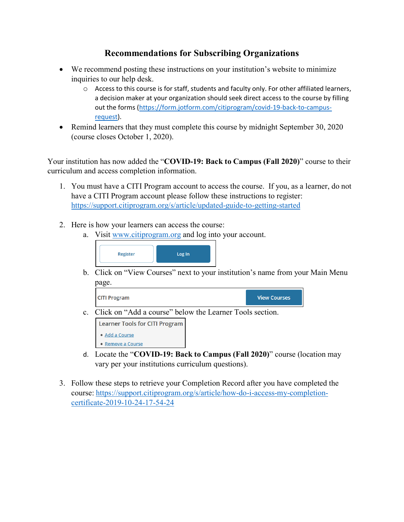## **Recommendations for Subscribing Organizations**

- We recommend posting these instructions on your institution's website to minimize inquiries to our help desk.
	- o Access to this course is for staff, students and faculty only. For other affiliated learners, a decision maker at your organization should seek direct access to the course by filling out the forms [\(https://form.jotform.com/citiprogram/covid-19-back-to-campus](https://form.jotform.com/citiprogram/covid-19-back-to-campus-request)[request\)](https://form.jotform.com/citiprogram/covid-19-back-to-campus-request).
- Remind learners that they must complete this course by midnight September 30, 2020 (course closes October 1, 2020).

Your institution has now added the "**COVID-19: Back to Campus (Fall 2020)**" course to their curriculum and access completion information.

- 1. You must have a CITI Program account to access the course. If you, as a learner, do not have a CITI Program account please follow these instructions to register: <https://support.citiprogram.org/s/article/updated-guide-to-getting-started>
- 2. Here is how your learners can access the course:
	- a. Visit [www.citiprogram.org](http://www.citiprogram.org/) and log into your account.



b. Click on "View Courses" next to your institution's name from your Main Menu page.



- d. Locate the "**COVID-19: Back to Campus (Fall 2020)**" course (location may vary per your institutions curriculum questions).
- 3. Follow these steps to retrieve your Completion Record after you have completed the course: [https://support.citiprogram.org/s/article/how-do-i-access-my-completion](https://support.citiprogram.org/s/article/how-do-i-access-my-completion-certificate-2019-10-24-17-54-24)[certificate-2019-10-24-17-54-24](https://support.citiprogram.org/s/article/how-do-i-access-my-completion-certificate-2019-10-24-17-54-24)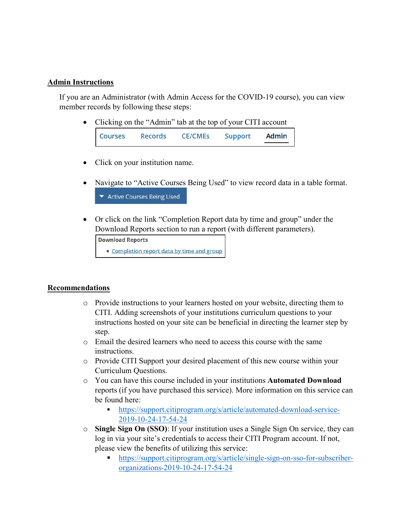## **Admin Instructions**

If you are an Administrator (with Admin Access for the COVID-19 course), you can view member records by following these steps:

• Clicking on the "Admin" tab at the top of your CITI account

- Click on your institution name.
- Navigate to "Active Courses Being Used" to view record data in a table format. ▼ Active Courses Being Used
- Or click on the link "Completion Report data by time and group" under the Download Reports section to run a report (with different parameters).

```
Download Reports
• Completion report data by time and group
```
## **Recommendations**

- o Provide instructions to your learners hosted on your website, directing them to CITI. Adding screenshots of your institutions curriculum questions to your instructions hosted on your site can be beneficial in directing the learner step by step.
- o Email the desired learners who need to access this course with the same instructions.
- o Provide CITI Support your desired placement of this new course within your Curriculum Questions.
- o You can have this course included in your institutions **Automated Download** reports (if you have purchased this service). More information on this service can be found here:
	- [https://support.citiprogram.org/s/article/automated-download-service-](https://support.citiprogram.org/s/article/automated-download-service-2019-10-24-17-54-24)[2019-10-24-17-54-24](https://support.citiprogram.org/s/article/automated-download-service-2019-10-24-17-54-24)
- o **Single Sign On (SSO)**: If your institution uses a Single Sign On service, they can log in via your site's credentials to access their CITI Program account. If not, please view the benefits of utilizing this service:
	- [https://support.citiprogram.org/s/article/single-sign-on-sso-for-subscriber](https://support.citiprogram.org/s/article/single-sign-on-sso-for-subscriber-organizations-2019-10-24-17-54-24)[organizations-2019-10-24-17-54-24](https://support.citiprogram.org/s/article/single-sign-on-sso-for-subscriber-organizations-2019-10-24-17-54-24)